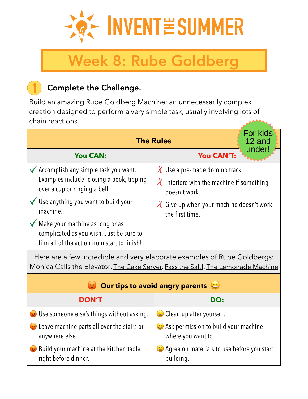

# Week 8: Rube Goldberg

# Complete the Challenge.

Build an amazing Rube Goldberg Machine: an unnecessarily complex creation designed to perform a very simple task, usually involving lots of chain reactions.

| For kids<br><b>The Rules</b><br>12 and<br>under!                                                                                |                                                                                                        |
|---------------------------------------------------------------------------------------------------------------------------------|--------------------------------------------------------------------------------------------------------|
| <b>You CAN:</b>                                                                                                                 | <b>You CAN'T:</b>                                                                                      |
| $\checkmark$ Accomplish any simple task you want.<br>Examples include: closing a book, tipping<br>over a cup or ringing a bell. | $\chi$ Use a pre-made domino track.<br>$\chi$ Interfere with the machine if something<br>doesn't work. |
| $\checkmark$ Use anything you want to build your<br>machine.                                                                    | Give up when your machine doesn't work<br>$\chi$<br>the first time.                                    |
| Make your machine as long or as<br>complicated as you wish. Just be sure to<br>film all of the action from start to finish!     |                                                                                                        |

Here are a few incredible and very elaborate examples of Rube Goldbergs: [Monica Calls the Elevator,](https://youtu.be/SrOrIxihl-Y) [The Cake Server,](https://youtu.be/auIlGqEyTm8) [Pass the Salt!](https://youtu.be/nORRgU8sGdE), [The Lemonade Machine](https://youtu.be/Av07QiqmsoA)

| <b>Our tips to avoid angry parents</b><br>20                                   |                                                            |
|--------------------------------------------------------------------------------|------------------------------------------------------------|
| <b>DON'T</b>                                                                   | DO:                                                        |
| <b>W</b> Use someone else's things without asking.                             | $\bigcirc$ Clean up after yourself.                        |
| <b>Example 20</b> Leave machine parts all over the stairs or<br>anywhere else. | Ask permission to build your machine<br>where you want to. |
| Build your machine at the kitchen table<br>right before dinner.                | Agree on materials to use before you start<br>building.    |